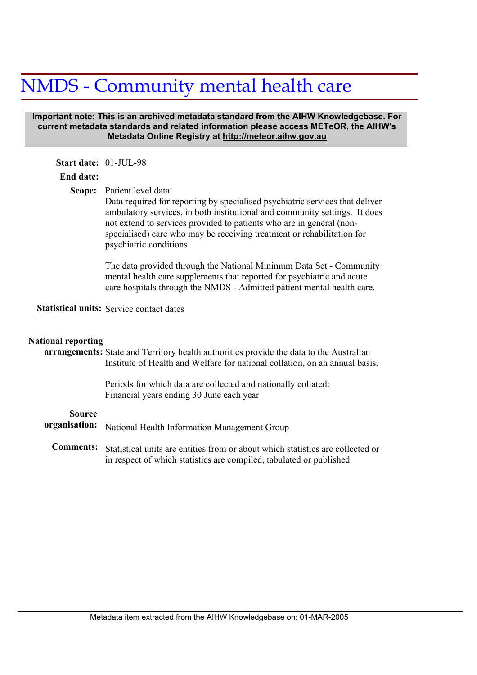# NMDS - Community mental health care

#### **Important note: This is an archived metadata standard from the AIHW Knowledgebase. For current metadata standards and related information please access METeOR, the AIHW's Metadata Online Registry at http://meteor.aihw.gov.au**

## **Start date:** 01-JUL-98

## **End date:**

Scope: Patient level data:

Data required for reporting by specialised psychiatric services that deliver ambulatory services, in both institutional and community settings. It does not extend to services provided to patients who are in general (nonspecialised) care who may be receiving treatment or rehabilitation for psychiatric conditions.

The data provided through the National Minimum Data Set - Community mental health care supplements that reported for psychiatric and acute care hospitals through the NMDS - Admitted patient mental health care.

Statistical units: Service contact dates

#### **National reporting**

# arrangements: State and Territory health authorities provide the data to the Australian Institute of Health and Welfare for national collation, on an annual basis.

Periods for which data are collected and nationally collated: Financial years ending 30 June each year

#### **Source**

|  | organisation: National Health Information Management Group |
|--|------------------------------------------------------------|
|--|------------------------------------------------------------|

Statistical units are entities from or about which statistics are collected or in respect of which statistics are compiled, tabulated or published **Comments:**